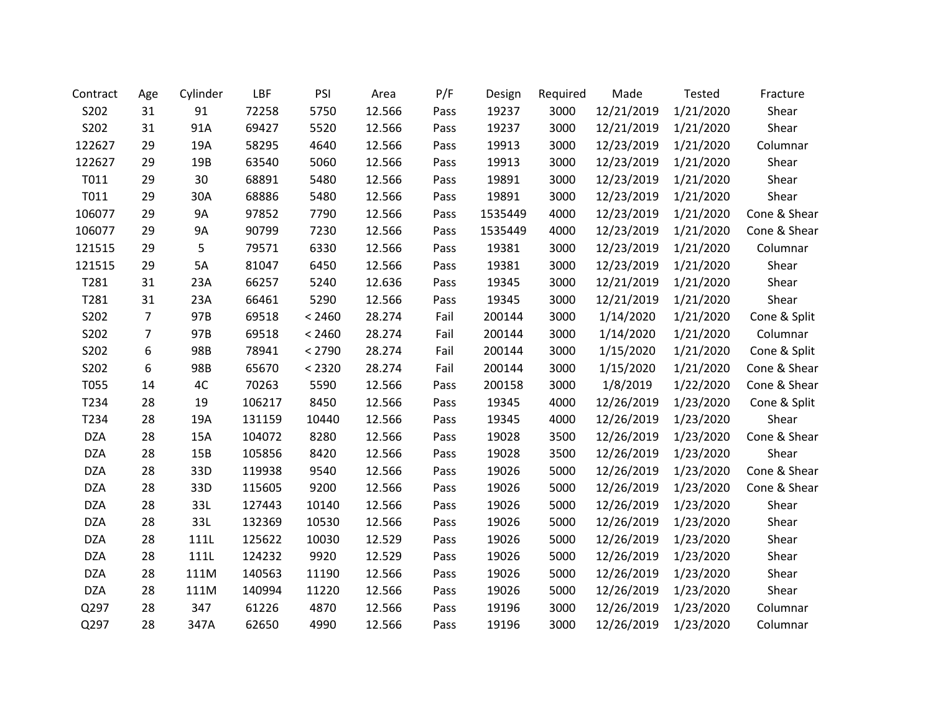| Contract   | Age            | Cylinder  | LBF    | PSI    | Area   | P/F  | Design  | Required | Made       | Tested    | Fracture     |
|------------|----------------|-----------|--------|--------|--------|------|---------|----------|------------|-----------|--------------|
| S202       | 31             | 91        | 72258  | 5750   | 12.566 | Pass | 19237   | 3000     | 12/21/2019 | 1/21/2020 | Shear        |
| S202       | 31             | 91A       | 69427  | 5520   | 12.566 | Pass | 19237   | 3000     | 12/21/2019 | 1/21/2020 | Shear        |
| 122627     | 29             | 19A       | 58295  | 4640   | 12.566 | Pass | 19913   | 3000     | 12/23/2019 | 1/21/2020 | Columnar     |
| 122627     | 29             | 19B       | 63540  | 5060   | 12.566 | Pass | 19913   | 3000     | 12/23/2019 | 1/21/2020 | Shear        |
| T011       | 29             | 30        | 68891  | 5480   | 12.566 | Pass | 19891   | 3000     | 12/23/2019 | 1/21/2020 | Shear        |
| T011       | 29             | 30A       | 68886  | 5480   | 12.566 | Pass | 19891   | 3000     | 12/23/2019 | 1/21/2020 | Shear        |
| 106077     | 29             | <b>9A</b> | 97852  | 7790   | 12.566 | Pass | 1535449 | 4000     | 12/23/2019 | 1/21/2020 | Cone & Shear |
| 106077     | 29             | <b>9A</b> | 90799  | 7230   | 12.566 | Pass | 1535449 | 4000     | 12/23/2019 | 1/21/2020 | Cone & Shear |
| 121515     | 29             | 5         | 79571  | 6330   | 12.566 | Pass | 19381   | 3000     | 12/23/2019 | 1/21/2020 | Columnar     |
| 121515     | 29             | 5A        | 81047  | 6450   | 12.566 | Pass | 19381   | 3000     | 12/23/2019 | 1/21/2020 | Shear        |
| T281       | 31             | 23A       | 66257  | 5240   | 12.636 | Pass | 19345   | 3000     | 12/21/2019 | 1/21/2020 | Shear        |
| T281       | 31             | 23A       | 66461  | 5290   | 12.566 | Pass | 19345   | 3000     | 12/21/2019 | 1/21/2020 | Shear        |
| S202       | $\overline{7}$ | 97B       | 69518  | < 2460 | 28.274 | Fail | 200144  | 3000     | 1/14/2020  | 1/21/2020 | Cone & Split |
| S202       | $\overline{7}$ | 97B       | 69518  | < 2460 | 28.274 | Fail | 200144  | 3000     | 1/14/2020  | 1/21/2020 | Columnar     |
| S202       | 6              | 98B       | 78941  | < 2790 | 28.274 | Fail | 200144  | 3000     | 1/15/2020  | 1/21/2020 | Cone & Split |
| S202       | 6              | 98B       | 65670  | < 2320 | 28.274 | Fail | 200144  | 3000     | 1/15/2020  | 1/21/2020 | Cone & Shear |
| T055       | 14             | 4C        | 70263  | 5590   | 12.566 | Pass | 200158  | 3000     | 1/8/2019   | 1/22/2020 | Cone & Shear |
| T234       | 28             | 19        | 106217 | 8450   | 12.566 | Pass | 19345   | 4000     | 12/26/2019 | 1/23/2020 | Cone & Split |
| T234       | 28             | 19A       | 131159 | 10440  | 12.566 | Pass | 19345   | 4000     | 12/26/2019 | 1/23/2020 | Shear        |
| <b>DZA</b> | 28             | 15A       | 104072 | 8280   | 12.566 | Pass | 19028   | 3500     | 12/26/2019 | 1/23/2020 | Cone & Shear |
| <b>DZA</b> | 28             | 15B       | 105856 | 8420   | 12.566 | Pass | 19028   | 3500     | 12/26/2019 | 1/23/2020 | Shear        |
| <b>DZA</b> | 28             | 33D       | 119938 | 9540   | 12.566 | Pass | 19026   | 5000     | 12/26/2019 | 1/23/2020 | Cone & Shear |
| <b>DZA</b> | 28             | 33D       | 115605 | 9200   | 12.566 | Pass | 19026   | 5000     | 12/26/2019 | 1/23/2020 | Cone & Shear |
| <b>DZA</b> | 28             | 33L       | 127443 | 10140  | 12.566 | Pass | 19026   | 5000     | 12/26/2019 | 1/23/2020 | Shear        |
| <b>DZA</b> | 28             | 33L       | 132369 | 10530  | 12.566 | Pass | 19026   | 5000     | 12/26/2019 | 1/23/2020 | Shear        |
| <b>DZA</b> | 28             | 111L      | 125622 | 10030  | 12.529 | Pass | 19026   | 5000     | 12/26/2019 | 1/23/2020 | Shear        |
| <b>DZA</b> | 28             | 111L      | 124232 | 9920   | 12.529 | Pass | 19026   | 5000     | 12/26/2019 | 1/23/2020 | Shear        |
| <b>DZA</b> | 28             | 111M      | 140563 | 11190  | 12.566 | Pass | 19026   | 5000     | 12/26/2019 | 1/23/2020 | Shear        |
| <b>DZA</b> | 28             | 111M      | 140994 | 11220  | 12.566 | Pass | 19026   | 5000     | 12/26/2019 | 1/23/2020 | Shear        |
| Q297       | 28             | 347       | 61226  | 4870   | 12.566 | Pass | 19196   | 3000     | 12/26/2019 | 1/23/2020 | Columnar     |
| Q297       | 28             | 347A      | 62650  | 4990   | 12.566 | Pass | 19196   | 3000     | 12/26/2019 | 1/23/2020 | Columnar     |